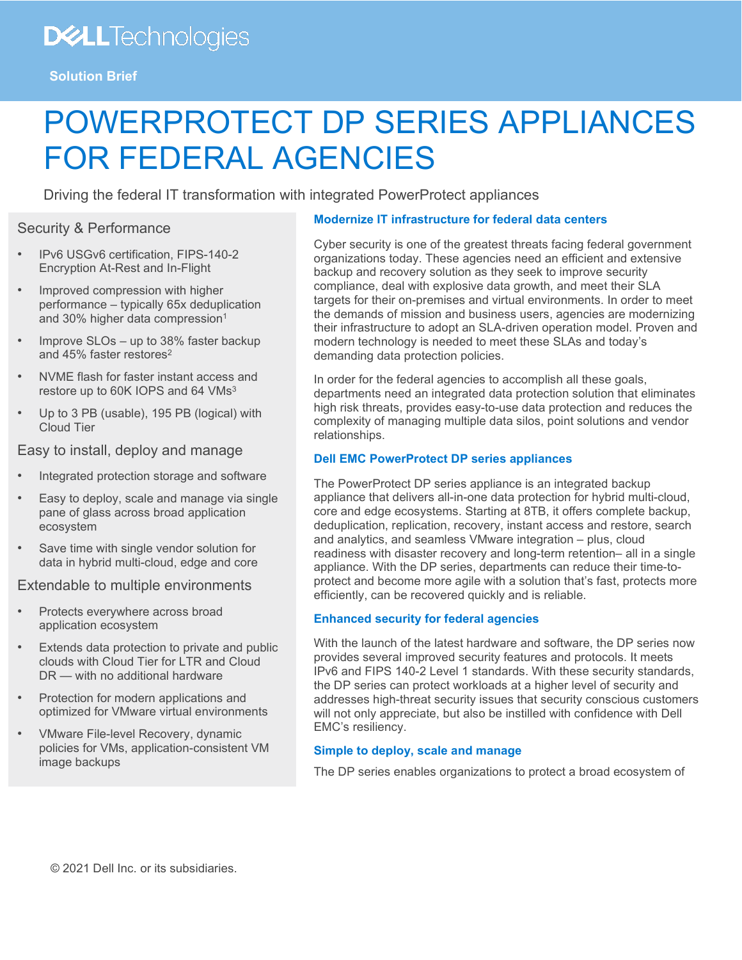## **DELLTechnologies**

**Solution Brief**

# POWERPROTECT DP SERIES APPLIANCES FOR FEDERAL AGENCIES

Driving the federal IT transformation with integrated PowerProtect appliances

### Security & Performance

- IPv6 USGv6 certification, FIPS-140-2 Encryption At-Rest and In-Flight
- Improved compression with higher performance – typically 65x deduplication and 30% higher data compression<sup>1</sup>
- Improve SLOs up to 38% faster backup and 45% faster restores2
- NVME flash for faster instant access and restore up to 60K IOPS and 64 VMs<sup>3</sup>
- Up to 3 PB (usable), 195 PB (logical) with Cloud Tier

Easy to install, deploy and manage

- Integrated protection storage and software
- Easy to deploy, scale and manage via single pane of glass across broad application ecosystem
- Save time with single vendor solution for data in hybrid multi-cloud, edge and core

Extendable to multiple environments

- Protects everywhere across broad application ecosystem
- Extends data protection to private and public clouds with Cloud Tier for LTR and Cloud DR — with no additional hardware
- Protection for modern applications and optimized for VMware virtual environments
- VMware File-level Recovery, dynamic policies for VMs, application-consistent VM image backups

#### **Modernize IT infrastructure for federal data centers**

Cyber security is one of the greatest threats facing federal government organizations today. These agencies need an efficient and extensive backup and recovery solution as they seek to improve security compliance, deal with explosive data growth, and meet their SLA targets for their on-premises and virtual environments. In order to meet the demands of mission and business users, agencies are modernizing their infrastructure to adopt an SLA-driven operation model. Proven and modern technology is needed to meet these SLAs and today's demanding data protection policies.

In order for the federal agencies to accomplish all these goals, departments need an integrated data protection solution that eliminates high risk threats, provides easy-to-use data protection and reduces the complexity of managing multiple data silos, point solutions and vendor relationships.

#### **Dell EMC PowerProtect DP series appliances**

The PowerProtect DP series appliance is an integrated backup appliance that delivers all-in-one data protection for hybrid multi-cloud, core and edge ecosystems. Starting at 8TB, it offers complete backup, deduplication, replication, recovery, instant access and restore, search and analytics, and seamless VMware integration – plus, cloud readiness with disaster recovery and long-term retention– all in a single appliance. With the DP series, departments can reduce their time-toprotect and become more agile with a solution that's fast, protects more efficiently, can be recovered quickly and is reliable.

#### **Enhanced security for federal agencies**

With the launch of the latest hardware and software, the DP series now provides several improved security features and protocols. It meets IPv6 and FIPS 140-2 Level 1 standards. With these security standards, the DP series can protect workloads at a higher level of security and addresses high-threat security issues that security conscious customers will not only appreciate, but also be instilled with confidence with Dell EMC's resiliency.

#### **Simple to deploy, scale and manage**

The DP series enables organizations to protect a broad ecosystem of